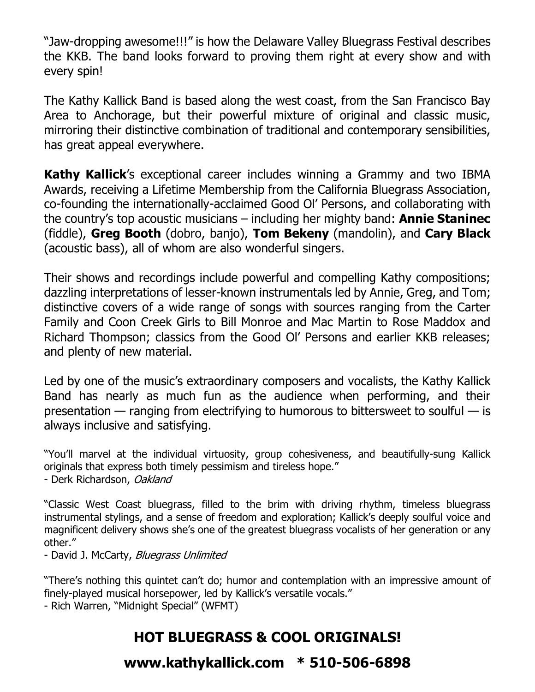"Jaw-dropping awesome!!!" is how the Delaware Valley Bluegrass Festival describes the KKB. The band looks forward to proving them right at every show and with every spin!

The Kathy Kallick Band is based along the west coast, from the San Francisco Bay Area to Anchorage, but their powerful mixture of original and classic music, mirroring their distinctive combination of traditional and contemporary sensibilities, has great appeal everywhere.

**Kathy Kallick**'s exceptional career includes winning a Grammy and two IBMA Awards, receiving a Lifetime Membership from the California Bluegrass Association, co-founding the internationally-acclaimed Good Ol' Persons, and collaborating with the country's top acoustic musicians – including her mighty band: **Annie Staninec** (fiddle), **Greg Booth** (dobro, banjo), **Tom Bekeny** (mandolin), and **Cary Black** (acoustic bass), all of whom are also wonderful singers.

Their shows and recordings include powerful and compelling Kathy compositions; dazzling interpretations of lesser-known instrumentals led by Annie, Greg, and Tom; distinctive covers of a wide range of songs with sources ranging from the Carter Family and Coon Creek Girls to Bill Monroe and Mac Martin to Rose Maddox and Richard Thompson; classics from the Good Ol' Persons and earlier KKB releases; and plenty of new material.

Led by one of the music's extraordinary composers and vocalists, the Kathy Kallick Band has nearly as much fun as the audience when performing, and their presentation — ranging from electrifying to humorous to bittersweet to soulful — is always inclusive and satisfying.

"You'll marvel at the individual virtuosity, group cohesiveness, and beautifully-sung Kallick originals that express both timely pessimism and tireless hope." - Derk Richardson, Oakland

"Classic West Coast bluegrass, filled to the brim with driving rhythm, timeless bluegrass instrumental stylings, and a sense of freedom and exploration; Kallick's deeply soulful voice and magnificent delivery shows she's one of the greatest bluegrass vocalists of her generation or any other."

- David J. McCarty, Bluegrass Unlimited

"There's nothing this quintet can't do; humor and contemplation with an impressive amount of finely-played musical horsepower, led by Kallick's versatile vocals."

- Rich Warren, "Midnight Special" (WFMT)

## **HOT BLUEGRASS & COOL ORIGINALS!**

**www.kathykallick.com \* 510-506-6898**